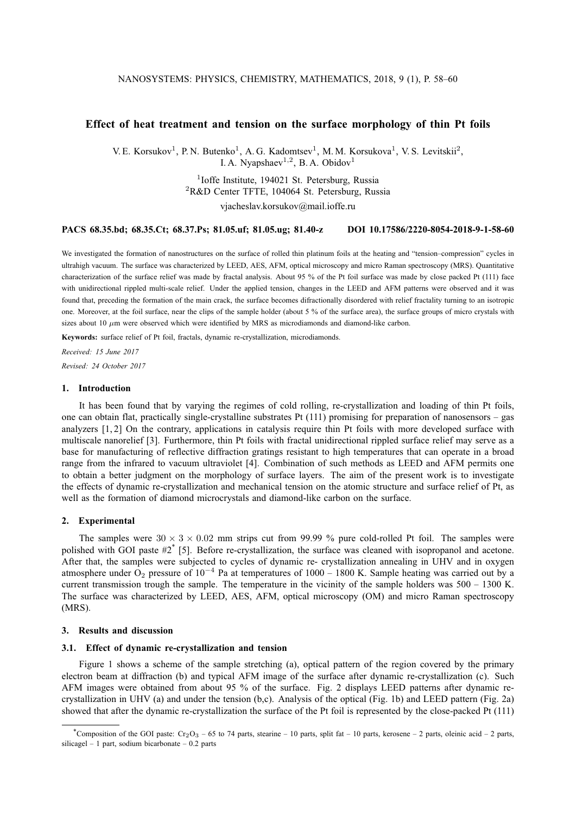# **Effect of heat treatment and tension on the surface morphology of thin Pt foils**

V. E. Korsukov<sup>1</sup>, P. N. Butenko<sup>1</sup>, A. G. Kadomtsev<sup>1</sup>, M. M. Korsukova<sup>1</sup>, V. S. Levitskii<sup>2</sup>, I. A. Nyapshaev $^{1,2}$ , B. A. Obidov $^1$ 

# <sup>1</sup>Ioffe Institute, 194021 St. Petersburg, Russia  ${}^{2}$ R&D Center TFTE, 104064 St. Petersburg, Russia vjacheslav.korsukov@mail.ioffe.ru

#### **PACS 68.35.bd; 68.35.Ct; 68.37.Ps; 81.05.uf; 81.05.ug; 81.40-z DOI 10.17586/2220-8054-2018-9-1-58-60**

We investigated the formation of nanostructures on the surface of rolled thin platinum foils at the heating and "tension–compression" cycles in ultrahigh vacuum. The surface was characterized by LEED, AES, AFM, optical microscopy and micro Raman spectroscopy (MRS). Quantitative characterization of the surface relief was made by fractal analysis. About 95 % of the Pt foil surface was made by close packed Pt (111) face with unidirectional rippled multi-scale relief. Under the applied tension, changes in the LEED and AFM patterns were observed and it was found that, preceding the formation of the main crack, the surface becomes difractionally disordered with relief fractality turning to an isotropic one. Moreover, at the foil surface, near the clips of the sample holder (about 5 % of the surface area), the surface groups of micro crystals with sizes about 10  $\mu$ m were observed which were identified by MRS as microdiamonds and diamond-like carbon.

**Keywords:** surface relief of Pt foil, fractals, dynamic re-crystallization, microdiamonds.

*Received: 15 June 2017 Revised: 24 October 2017*

## **1. Introduction**

It has been found that by varying the regimes of cold rolling, re-crystallization and loading of thin Pt foils, one can obtain flat, practically single-crystalline substrates Pt  $(111)$  promising for preparation of nanosensors – gas analyzers [1, 2] On the contrary, applications in catalysis require thin Pt foils with more developed surface with multiscale nanorelief [3]. Furthermore, thin Pt foils with fractal unidirectional rippled surface relief may serve as a base for manufacturing of reflective diffraction gratings resistant to high temperatures that can operate in a broad range from the infrared to vacuum ultraviolet [4]. Combination of such methods as LEED and AFM permits one to obtain a better judgment on the morphology of surface layers. The aim of the present work is to investigate the effects of dynamic re-crystallization and mechanical tension on the atomic structure and surface relief of Pt, as well as the formation of diamond microcrystals and diamond-like carbon on the surface.

#### **2. Experimental**

The samples were  $30 \times 3 \times 0.02$  mm strips cut from 99.99 % pure cold-rolled Pt foil. The samples were polished with GOI paste #2<sup>\*</sup> [5]. Before re-crystallization, the surface was cleaned with isopropanol and acetone. After that, the samples were subjected to cycles of dynamic re- crystallization annealing in UHV and in oxygen atmosphere under O<sub>2</sub> pressure of  $10^{-4}$  Pa at temperatures of 1000 – 1800 K. Sample heating was carried out by a current transmission trough the sample. The temperature in the vicinity of the sample holders was 500 – 1300 K. The surface was characterized by LEED, AES, AFM, optical microscopy (OM) and micro Raman spectroscopy (MRS).

# **3. Results and discussion**

#### **3.1. Effect of dynamic re-crystallization and tension**

Figure 1 shows a scheme of the sample stretching (a), optical pattern of the region covered by the primary electron beam at diffraction (b) and typical AFM image of the surface after dynamic re-crystallization (c). Such AFM images were obtained from about 95 % of the surface. Fig. 2 displays LEED patterns after dynamic recrystallization in UHV (a) and under the tension (b,c). Analysis of the optical (Fig. 1b) and LEED pattern (Fig. 2a) showed that after the dynamic re-crystallization the surface of the Pt foil is represented by the close-packed Pt (111)

<sup>\*</sup>Composition of the GOI paste:  $Cr_2O_3$  – 65 to 74 parts, stearine – 10 parts, split fat – 10 parts, kerosene – 2 parts, oleinic acid – 2 parts, silicagel – 1 part, sodium bicarbonate – 0.2 parts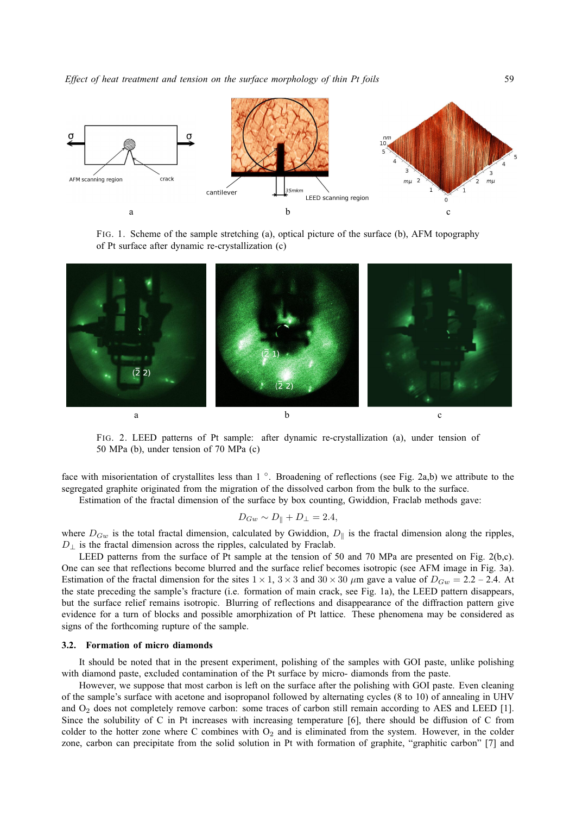

FIG. 1. Scheme of the sample stretching (a), optical picture of the surface (b), AFM topography of Pt surface after dynamic re-crystallization (c)



FIG. 2. LEED patterns of Pt sample: after dynamic re-crystallization (a), under tension of 50 MPa (b), under tension of 70 MPa (c)

face with misorientation of crystallites less than 1°. Broadening of reflections (see Fig. 2a,b) we attribute to the segregated graphite originated from the migration of the dissolved carbon from the bulk to the surface.

Estimation of the fractal dimension of the surface by box counting, Gwiddion, Fraclab methods gave:

$$
D_{Gw} \sim D_{\parallel} + D_{\perp} = 2.4,
$$

where  $D_{Gw}$  is the total fractal dimension, calculated by Gwiddion,  $D_{\parallel}$  is the fractal dimension along the ripples,  $D_{\perp}$  is the fractal dimension across the ripples, calculated by Fraclab.

LEED patterns from the surface of Pt sample at the tension of 50 and 70 MPa are presented on Fig. 2(b,c). One can see that reflections become blurred and the surface relief becomes isotropic (see AFM image in Fig. 3a). Estimation of the fractal dimension for the sites  $1 \times 1$ ,  $3 \times 3$  and  $30 \times 30$   $\mu$ m gave a value of  $D_{Gw} = 2.2 - 2.4$ . At the state preceding the sample's fracture (i.e. formation of main crack, see Fig. 1a), the LEED pattern disappears, but the surface relief remains isotropic. Blurring of reflections and disappearance of the diffraction pattern give evidence for a turn of blocks and possible amorphization of Pt lattice. These phenomena may be considered as signs of the forthcoming rupture of the sample.

#### **3.2. Formation of micro diamonds**

It should be noted that in the present experiment, polishing of the samples with GOI paste, unlike polishing with diamond paste, excluded contamination of the Pt surface by micro- diamonds from the paste.

However, we suppose that most carbon is left on the surface after the polishing with GOI paste. Even cleaning of the sample's surface with acetone and isopropanol followed by alternating cycles (8 to 10) of annealing in UHV and  $O<sub>2</sub>$  does not completely remove carbon: some traces of carbon still remain according to AES and LEED [1]. Since the solubility of C in Pt increases with increasing temperature [6], there should be diffusion of C from colder to the hotter zone where C combines with  $O_2$  and is eliminated from the system. However, in the colder zone, carbon can precipitate from the solid solution in Pt with formation of graphite, "graphitic carbon" [7] and